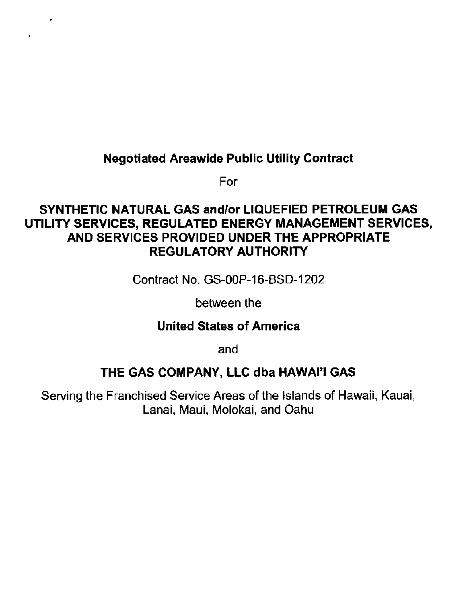# Negotiated Areawide Public Utility Contract

For

# SYNTHETIC NATURAL GAS and/or LIQUEFIED PETROLEUM GAS UTILITY SERVICES, REGULATED ENERGY MANAGEMENT SERVICES, AND SERVICES PROVIDED UNDER THE APPROPRIATE REGULATORY AUTHORITY

Contract No. GS-OOP-16-BSD-1202

between the

## United States of America

and

# THE GAS COMPANY, LLC dba HAWAl'I GAS

Serving the Franchised Service Areas of the Islands of Hawaii, Kauai, Lanai, Maui, Molokai, and Oahu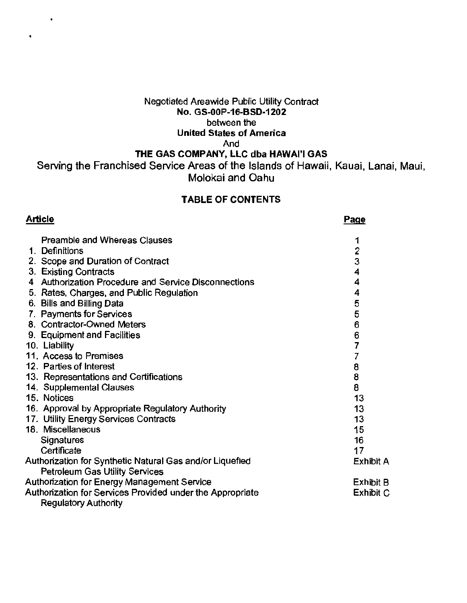### Negotiated Areawide Public Utility Contract No. GS-OOP-16-BSD-1202 between the United States of America And

## THE GAS COMPANY, LLC dba HAWAl'I GAS

Serving the Franchised Service Areas of the Islands of Hawaii, Kauai, Lanai, Maui, Molokai and Oahu

## TABLE OF CONTENTS

## **Article**

 $\bullet$ 

Page

| <b>Preamble and Whereas Clauses</b>                                                        | 1                |  |
|--------------------------------------------------------------------------------------------|------------------|--|
| 1. Definitions                                                                             | 2                |  |
| 2. Scope and Duration of Contract                                                          | 3                |  |
| 3. Existing Contracts                                                                      | 4                |  |
| 4 Authorization Procedure and Service Disconnections                                       | 4                |  |
| 5. Rates, Charges, and Public Regulation                                                   | 4                |  |
| 6. Bills and Billing Data                                                                  |                  |  |
| 7. Payments for Services                                                                   | 5<br>5           |  |
| 8. Contractor-Owned Meters                                                                 | 6                |  |
| 9. Equipment and Facilities                                                                | $\frac{6}{7}$    |  |
| 10. Liability                                                                              |                  |  |
| 11. Access to Premises                                                                     | 7                |  |
| 12. Parties of Interest                                                                    | 8                |  |
| 13. Representations and Certifications                                                     | 8                |  |
| 14. Supplemental Clauses                                                                   | 8                |  |
| 15. Notices                                                                                | 13               |  |
| 16. Approval by Appropriate Regulatory Authority                                           | 13               |  |
| 17. Utility Energy Services Contracts                                                      | 13               |  |
| 18. Miscellaneous                                                                          | 15               |  |
| Signatures                                                                                 | 16               |  |
| Certificate                                                                                | 17               |  |
| Authorization for Synthetic Natural Gas and/or Liquefied<br>Petroleum Gas Utility Services | <b>Exhibit A</b> |  |
| Authorization for Energy Management Service                                                | <b>Exhibit B</b> |  |
| Authonzation for Services Provided under the Appropriate<br><b>Regulatory Authority</b>    | <b>Exhibit C</b> |  |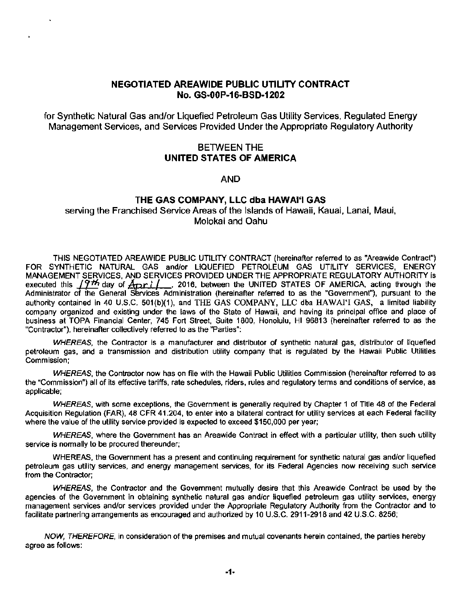### NEGOTIATED AREAWIDE PUBLIC UTILITY CONTRACT No. GS·OOP·16·BSD·1202

.

for Synthetic Natural Gas and/or Liquefied Petroleum Gas Utility Services, Regulated Energy Management Services, and Services Provided Under the Appropriate Regulatory Authority

## BETWEEN THE UNITED STATES OF AMERICA

#### AND

### THE GAS COMPANY, LLC dba HAWAl'I GAS

serving the Franchised Service Areas of the Islands of Hawaii, Kauai, Lanai, Maui, Molokai and Oahu

THIS NEGOTIATED AREAWIDE PUBLIC UTILITY CONTRACT (hereinafter referred to as "Areawide Contract") FOR SYNTHETIC NATURAL GAS and/or LIQUEFIED PETROLEUM GAS UTILITY SERVICES, ENERGY MANAGEMENT SERVICES, AND SERVICES PROVIDED UNDER THE APPROPRIATE REGULATORY AUTHORITY is executed this  $~f$ <sup> $\#$ </sup> day of  $~A$ <sub>Dni</sub>  $/$ , 2016, between the UNITED STATES OF AMERICA, acting through the Administrator of the General Services Administration (hereinafter referred to as the "Government"), pursuant to the authority contained in 40 U.S.C. 501(b)(1), and THE GAS COMPANY, LLC dba HAWAJ'I GAS, a limited liability company organized and existing under the laws of the State of Hawaii, and having its principal office and place of business at TOPA Financial Center, 745 Fort Street, Suite 1800, Honolulu, HI 96813 (hereinafter referred to as the "Contractor"), hereinafter collectively referred to as the "Parties":

WHEREAS, the Contractor is a manufacturer and distributor of synthetic natural gas, distributor of liquefied petroleum gas, and a transmission and distribution utility company that is regulated by the Hawaii Public Utilities Commission;

WHEREAS, the Contractor now has on file with the Hawaii Public Utilities Commission (hereinafter referred to as the "Commission") all of its effective tariffs, rate schedules, riders, rules and regulatory terms and conditions of service, as applicable;

WHEREAS, with some exceptions, the Government is generally required by Chapter 1 of Title 48 of the Federal Acquisition Regulation (FAR), 48 CFR 41.204, to enter into a bilateral contract for utility services at each Federal facility where the value of the utility service provided is expected to exceed \$150,000 per year;

WHEREAS, where the Government has an Areawide Contract in effect with a particular utility, then such utility service is normally to be procured thereunder;

WHEREAS, the Government has a present and continuing requirement for synthetic natural gas and/or liquefied petroleum gas utility services, and energy management services, for its Federal Agencies now receiving such service from the Contractor;

WHEREAS, the Contractor and the Government mutually desire that this Areawide Contract be used by the agencies of the Government in obtaining synthetic natural gas and/or liquefied petroleum gas utility services, energy management services and/or services provided under the Appropriate Regulatory Authority from the Contractor and to facilitate partnering arrangements as encouraged and authorized by 10 U.S.C. 2911-2918 and 42 U.S.C. 8256;

NOW. THEREFORE, in consideration of the premises and mutual covenants herein contained, the parties hereby agree as follows: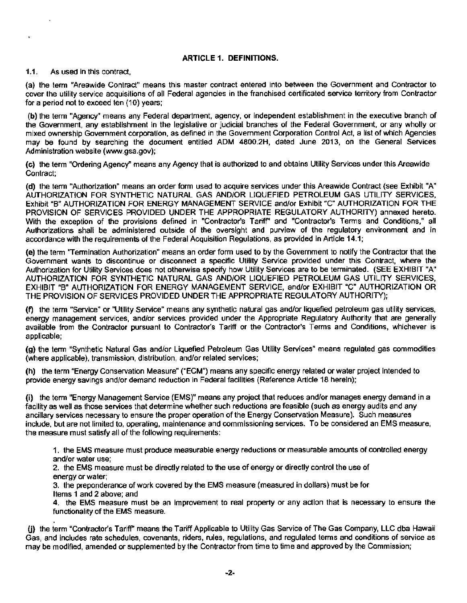#### ARTICLE 1. DEFINITIONS.

1.1. As used in this contract,

 $\ddot{\phantom{1}}$ 

(a) the term "Areawide Contract" means this master contract entered into between the Government and Contractor to cover the utility service acquisitions of all Federal agencies in the franchised certificated service territory from Contractor for a period not to exceed ten (10) years;

(b) the term "Agency" means any Federal department, agency, or independent establishment in the executive branch of the Government, any establishment in the legislative or judicial branches of the Federal Government, or any wholly or mixed ownership Government corporation. as defined in the Government Corporation Control Act, a list of which Agencies may be found by searching the document entitled ADM 4800.2H, dated June 2013, on the General Services Administration website (www.gsa.gov);

(c) the term "Ordering Agency" means any Agency that is authorized to and obtains Utility Services under this Areawide Contract;

(d) the term "Authorization" means an order form used to acquire services under this Areawide Contract (see Exhibit "A" AUTHORIZATION FOR SYNTHETIC NATURAL GAS AND/OR LIQUEFIED PETROLEUM GAS UTILITY SERVICES, Exhibit "B" AUTHORIZATION FOR ENERGY MANAGEMENT SERVICE and/or Exhibit "C" AUTHORIZATION FOR THE PROVISION OF SERVICES PROVIDED UNDER THE APPROPRIATE REGULATORY AUTHORITY) annexed hereto. With the exception of the provisions defined in "Contractor's Tariff" and "Contractor's Terms and Conditions," all Authorizations shall be administered outside of the oversight and purview of the regulatory environment and in accordance with the requirements of the Federal Acquisition Regulations, as provided in Article 14.1;

(e) the term "Termination Authorization" means an order form used to by the Government to notify the Contractor that the Government wants to discontinue or disconnect a specific Utility Service provided under this Contract, where the Authorization for Utility Services does not otherwise specify how Utility Services are to be terminated. (SEE EXHIBIT "A" AUTHORIZATION FOR SYNTHETIC NATURAL GAS AND/OR LIQUEFIED PETROLEUM GAS UTILITY SERVICES, EXHIBIT "B" AUTHORIZATION FOR ENERGY MANAGEMENT SERVICE, and/or EXHIBIT "C" AUTHORIZATION OR THE PROVISION OF SERVICES PROVIDED UNDER THE APPROPRIATE REGULATORY AUTHORITY);

(f) the term "Service" or "Utility Service" means any synthetic natural gas and/or liquefied petroleum gas utility services, energy management services, and/or services provided under the Appropriate Regulatory Authority that are generally available from the Contractor pursuant to Contractor's Tariff or the Contractor's Terms and Conditions, whichever is applicable;

(g) the term "Synthetic Natural Gas and/or Liquefied Petroleum Gas Utility Services" means regulated gas commodities (where applicable), transmission, distribution, and/or related services;

(h) the term "Energy Conservation Measure" ("ECM") means any specific energy related or water project intended to provide energy savings and/or demand reduction in Federal facilities (Reference Article 18 herein);

(i) the term "Energy Management Service (EMS)" means any project that reduces and/or manages energy demand in a facility as well as those services that determine whether such reductions are feasible (such as energy audits and any ancillary services necessary to ensure the proper operation of the Energy Conservation Measure). Such measures include, but are not limited to, operating, maintenance and commissioning services. To be considered an EMS measure, the measure must satisfy all of the following requirements:

1. the EMS measure must produce measurable energy reductions or measurable amounts of controlled energy and/or water use;

2. the EMS measure must be directly related to the use of energy or directly control the use of energy or water;

3. the preponderance of work covered by the EMS measure (measured in dollars) must be for Items 1 and 2 above; and

4. the EMS measure must be an improvement to real property or any action that is necessary to ensure the functionality of the EMS measure.

(j) the term "Contractor's Tariff' means the Tariff Applicable to Utility Gas Service of The Gas Company, LLC dba Hawaii Gas. and includes rate schedules, covenants, riders, rules, regulations, and regulated terms and conditions of service as may be modified, amended or supplemented by the Contractor from time to time and approved by the Commission;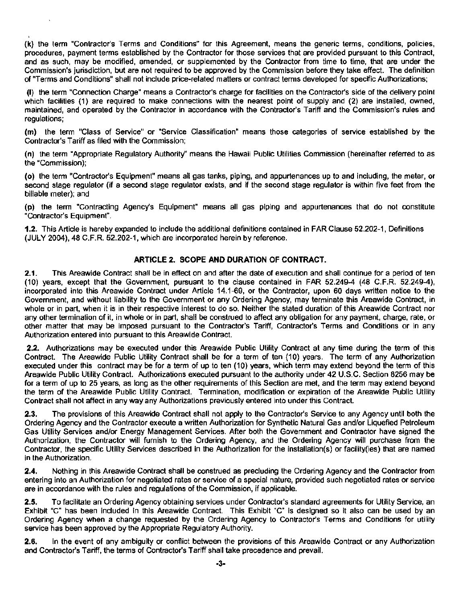(k) the term "Contractor's Terms and Conditions" for this Agreement, means the generic terms, conditions, policies, procedures, payment terms established by the Contractor for those services that are provided pursuant to this Contract, and as such, may be modified, amended, or supplemented by the Contractor from time to time, that are under the Commission's jurisdiction, but are not required to be approved by the Commission before they take effect. The definition of "Terms and Conditions" shall not include price-related matters or contract terms developed for specific Authorizations;

(I) the term "Connection Charge" means a Contractor's charge for facilities on the Contractor's side of the delivery point which facilities (1) are required to make connections with the nearest point of supply and (2) are installed, owned, maintained, and operated by the Contractor in accordance with the Contractor's Tariff and the Commission's rules and regulations;

(m) the term "Class of Service" or "Service Classification" means those categories of service established by the Contractor's Tariff as filed with the Commission;

(n) the term "Appropriate Regulatory Authority" means the Hawaii Public Utilities Commission (hereinafter referred to as the "Commission);

(o) the term "Contractor's Equipment" means all gas tanks, piping, and appurtenances up to and including, the meter, or second stage regulator (if a second stage regulator exists, and if the second stage regulator is within five feet from the billable meter); and

(p) the term "Contracting Agency's Equipment" means all gas piping and appurtenances that do not constitute "Contractor's Equipment".

1.2. This Article is hereby expanded to include the additional definitions contained in FAR Clause 52.202-1, Definitions (JULY 2004), 48 C.F.R. 52.202-1, which are incorporated herein by reference.

#### ARTICLE 2. SCOPE AND DURATION OF CONTRACT.

2.1. This Areawide Contract shall be in effect on and after the date of execution and shall continue for a period of ten (10) years, except that the Government. pursuant to the clause contained in FAR 52.249-4 (48 C.F.R. 52.249-4), incorporated into this Areawide Contract under Article 14.1-69, or the Contractor, upon 60 days written notice to the Government, and without liability to the Government or any Ordering Agency, may terminate this Areawide Contract, in whole or in part, when it is in their respective interest to do so. Neither the stated duration of this Areawide Contract nor any other termination of it, in whole or in part, shall be construed to affect any obligation for any payment, charge, rate, or other matter that may be imposed pursuant to the Contractor's Tariff, Contractor's Terms and Conditions or in any Authorization entered into pursuant to this Areawide Contract.

2.2. Authorizations may be executed under this Areawide Public Utility Contract at any time during the term of this Contract. The Areawide Public Utility Contract shall be for a term of ten (10) years. The term of any Authorization executed under this contract may be for a term of up to ten (10) years, which term may extend beyond the term of this Areawide Public Utility Contract. Authorizations executed pursuant to the authority under 42 U.S.C. Section 8256 may be for a term of up to 25 years, as long as the other requirements of this Section are met, and the term may extend beyond the term of the Areawide Public Utility Contract. Termination, modification or expiration of the Areawide Public Utility Contract shall not affect in any way any Authorizations previously entered into under this Contract.

2.3. The provisions of this Areawide Contract shall not apply to the Contractor's Service to any Agency until both the Ordering Agency and the Contractor execute a written Authorization for Synthetic Natural Gas and/or Liquefied Petroleum Gas Utility Services and/or Energy Management Services. After both the Government and Contractor have signed the Authorization, the Contractor will furnish to the Ordering Agency, and the Ordering Agency will purchase from the Contractor, the specific Utility Services described in the Authorization for the installation(s) or facility(ies) that are named in the Authorization.

2.4. Nothing in this Areawide Contract shall be construed as precluding the Ordering Agency and the Contractor from entering into an Authorization for negotiated rates or service of a special nature, provided such negotiated rates or service are in accordance with the rules and regulations of the Commission, if applicable.

2.5. To facilitate an Ordering Agency obtaining services under Contractor's standard agreements for Utility Service, an Exhibit "C" has been included in this Areawide Contract. This Exhibit "C" is designed so it also can be used by an Ordering Agency when a change requested by the Ordering Agency to Contractor's Terms and Conditions for utility service has been approved by the Appropriate Regulatory Authority.

2.6. In the event of any ambiguity or conflict between the provisions of this Areawide Contract or any Authorization and Contractor's Tariff. the terms of Contractor's Tariff shall take precedence and prevail .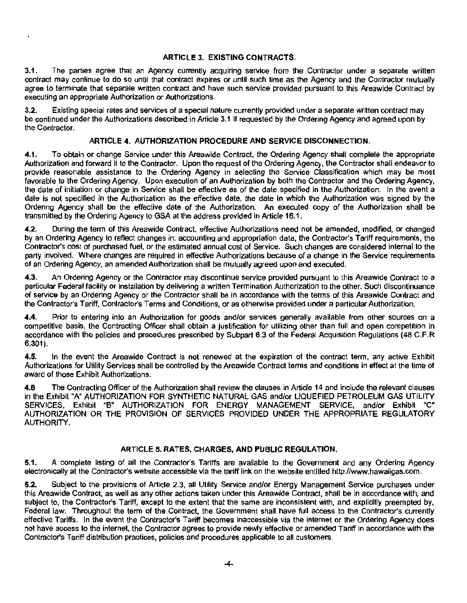#### ARTICLE 3. EXISTING CONTRACTS.

 $\ddot{\phantom{0}}$ 

3.1. The parties agree that an Agency currently acquiring service from the Contractor under a separate written contract may continue to do so until that contract expires or until such time as the Agency and the Contractor mutually agree to terminate that separate written contract and have such service provided pursuant to this Areawide Contract by executing an appropriate Authorization or Authorizations.

3.2. Existing special rates and services of a special nature currently provided under a separate written contract may be continued under the Authorizations described in Article 3.1 if requested by the Ordering Agency and agreed upon by the Contractor.

#### ARTICLE 4. AUTHORIZATION PROCEDURE AND SERVICE DISCONNECTION.

4.1. To obtain or change Service under this Areawide Contract, the Ordering Agency shall complete the appropriate Authorization and forward it to the Contractor. Upon the request of the Ordering Agency, the Contractor shall endeavor to provide reasonable assistance to the Ordering Agency in selecting the Service Classification which may be most favorable to the Ordering Agency. Upon execution of an Authorization by both the Contractor and the Ordering Agency, the date of initiation or change in Service shall be effective as of the date specified in the Authorization. In the event a date is not specified in the Authorization as the effective date, the date in which the Authorization was signed by the Ordering Agency shall be the effective date of the Authorization. An executed copy of the Authorization shall be transmitted by the Ordering Agency to GSA at the address provided in Article 16.1.

4.2. During the term of this Areawide Contract, effective Authorizations need not be amended, modified, or changed by an Ordering Agency to reflect changes in: accounting and appropriation data, the Contractor's Tariff requirements, the Contractor's cost of purchased fuel, or the estimated annual cost of Service. Such changes are considered internal to the party involved. Where changes are required in effective Authorizations because of a change in the Service requirements of an Ordering Agency, an amended Authorization shall be mutually agreed upon and executed.

4.3. An Ordering Agency or the Contractor may discontinue service provided pursuant to this Areawide Contract to a particular Federal facility or installation by delivering a written Termination Authorization to the other. Such discontinuance of service by an Ordering Agency or the Contractor shall be in accordance with the terms of this Areawide Contract and the Contractor's Tariff. Contractor's Terms and Conditions, or as otherwise provided under a particular Authorization.

4.4. Prior to entering into an Authorization for goods and/or services generally available from other sources on a competitive basis, the Contracting Officer shall obtain a justification for utilizing other than full and open competition in accordance with the policies and procedures prescribed by Subpart 6.3 of the Federal Acquisition Regulations (48 C.F.R 6.301).

4.5. In the event the Areawide Contract is not renewed at the expiration of the contract term, any active Exhibit Authorizations for Utility Services shall be controlled by the Areawide Contract terms and conditions in effect at the time of award of those Exhibit Authorizations.

4.6 The Contracting Officer of the Authorization shall review the clauses in Article 14 and include the relevant clauses in the Exhibit •A" AUTHORIZATION FOR SYNTHETIC NATURAL GAS and/or LIQUEFIED PETROLEUM GAS UTILITY SERVICES, Exhibit "B" AUTHORIZATION FOR ENERGY MANAGEMENT SERVICE, and/or Exhibit "C" AUTHORIZATION OR THE PROVISION OF SERVICES PROVIDED UNDER THE APPROPRIATE REGULATORY AUTHORITY.

#### ARTICLE 5. RATES, CHARGES, AND PUBLIC REGULATION.

5.1. A complete listing of all the Contractor's Tariffs are available to the Government and any Ordering Agency electronically at the Contractor's website accessible via the tariff link on the website entitled http://www.hawaiigas.com.

15.2. Subject to the provisions of Article 2.3, all Utility Service and/or Energy Management Service purchases under this Areawide Contract, as well as any other actions taken under this Areawide Contract, shall be in accordance with, and subject to, the Contractor's Tariff, except to the extent that the same are inconsistent with, and explicitly preempted by, Federal law. Throughout the term of the Contract, the Government shall have full access to the Contractor's currently effective Tariffs. In the event the Contractor's Tariff becomes inaccessible via the internet or the Ordering Agency does not have access to the internet, the Contractor agrees to provide newly effective or amended Tariff in accordance with the Contractor's Tariff distribution practices, policies and procedures applicable to all customers.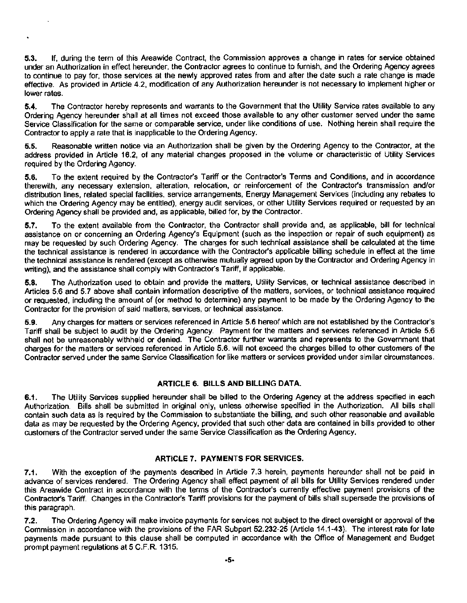5.3. If. during the term of this Areawide Contract, the Commission approves a change in rates for service obtained under an Authorization in effect hereunder, the Contractor agrees to continue to furnish, and the Ordering Agency agrees to continue to pay for, those services at the newly approved rates from and after the date such a rate change is made effective. As provided in Article 4.2, modification of any Authorization hereunder is not necessary to implement higher or lower rates.

 $\ddot{\phantom{a}}$ 

5.4. The Contractor hereby represents and warrants to the Government that the Utility Service rates available to any Ordering Agency hereunder shall at all times not exceed those available to any other customer served under the same Service Classification for the same or comparable service, under like conditions of use. Nothing herein shall require the Contractor to apply a rate that is inapplicable to the Ordering Agency.

5.5. Reasonable written notice via an Authorization shall be given by the Ordering Agency to the Contractor, at the address provided in Article 16.2, of any material changes proposed in the volume or characteristic of Utility Services required by the Ordering Agency.

5.6. To the extent required by the Contractor's Tariff or the Contractor's Terms and Conditions, and in accordance therewith, any necessary extension, alteration, relocation, or reinforcement of the Contractor's transmission and/or distribution lines, related special facilities. service arrangements, Energy Management Services (including any rebates to which the Ordering Agency may be entitled), energy audit services, or other Utility Services required or requested by an Ordering Agency shall be provided and, as applicable, billed for, by the Contractor.

5.7. To the extent available from the Contractor, the Contractor shall provide and, as applicable, bill for technical assistance on or concerning an Ordering Agency's Equipment (such as the inspection or repair of such equipment) as may be requested by such Ordering Agency. The charges for such technical assistance shall be calculated at the time the technical assistance is rendered in accordance with the Contractor's applicable billing schedule in effect at the time the technical assistance is rendered (except as otherwise mutually agreed upon by the Contractor and Ordering Agency in writing), and the assistance shall comply with Contractor's Tariff, if applicable.

5.8. The Authorization used to obtain and provide the matters. Utility Services, or technical assistance described in Articles 5.6 and 5.7 above shall contain information descriptive of the matters, services, or technical assistance required or requested, including the amount of (or method to determine) any payment to be made by the Ordering Agency to the Contractor for the provision of said matters, services, or technical assistance.

5.9. Any charges for matters or services referenced in Article 5.6 hereof which are not established by the Contractor's Tariff shall be subject to audit by the Ordering Agency. Payment for the matters and services referenced in Article 5.6 shall not be unreasonably withheld or denied. The Contractor further warrants and represents to the Government that charges for the matters or services referenced in Article 5.6. will not exceed the charges billed to other customers of the Contractor served under the same Service Classification for like matters or services provided under similar circumstances.

#### ARTICLE 6. BILLS AND BILLING DATA.

6.1. The Utility Services supplied hereunder shall be billed to the Ordering Agency at the address specified in each Authorization. Bills shall be submitted in original only, unless otherwise specified in the Authorization. All bills shall contain such data as is required by the Commission to substantiate the billing, and such other reasonable and available data as may be requested by the Ordering Agency, provided that such other data are contained in bills provided to other customers of the Contractor served under the same Service Classification as the Ordering Agency.

#### ARTICLE 7. PAYMENTS FOR SERVICES.

7.1. With the exception of the payments described in Article 7.3 herein, payments hereunder shall not be paid in advance of services rendered. The Ordering Agency shall effect payment of all bills for Utility Services rendered under this Areawide Contract in accordance with the terms of the Contractor's currently effective payment provisions of the Contractor's Tariff. Changes in the Contractor's Tariff provisions for the payment of bills shall supersede the provisions of this paragraph.

7.2. The Ordering Agency will make invoice payments for services not subject to the direct oversight or approval of the Commission in accordance with the provisions of the FAR Subpart 52.232-25 (Article 14.1-43). The interest rate for late payments made pursuant to this clause shall be computed in accordance with the Office of Management and Budget prompt payment regulations at 5 C.F.R. 1315.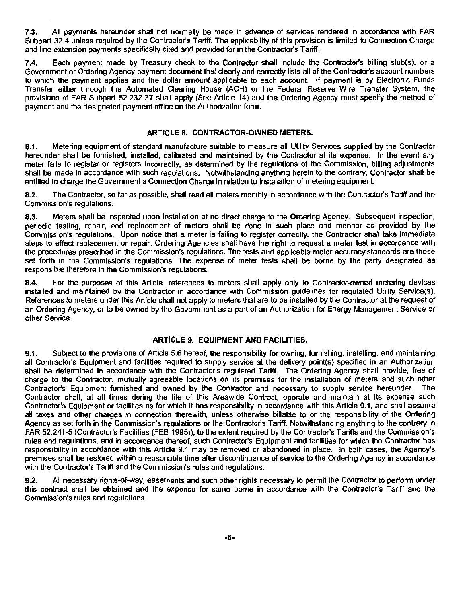7.3. All payments hereunder shall not normally be made in advance of services rendered in accordance with FAR Subpart 32.4 unless required by the Contractor's Tariff. The applicability of this provision is limited to Connection Charge and line extension payments specifically cited and provided for in the Contractor's Tariff.

7.4. Each payment made by Treasury check to the Contractor shall include the Contractor's billing stub(s), or a Government or Ordering Agency payment document that clearly and correctly lists all of the Contractor's account numbers to which the payment applies and the dollar amount applicable to each account. If payment is by Electronic Funds Transfer either through the Automated Clearing House (ACH) or the Federal Reserve Wire Transfer System, the provisions of FAR Subpart 52.232-37 shall apply (See Article 14) and the Ordering Agency must specify the method of payment and the designated payment office on the Authorization form.

#### ARTICLE 8. CONTRACTOR-OWNED METERS.

8.1. Metering equipment of standard manufacture suitable to measure all Utility Services supplied by the Contractor hereunder shall be furnished, installed, calibrated and maintained by the Contractor at its expense. In the event any meter fails to register or registers incorrectly, as determined by the regulations of the Commission, billing adjustments shall be made in accordance with such regulations. Notwithstanding anything herein to the contrary, Contractor shall be entitled to charge the Government a Connection Charge in relation to installation of metering equipment.

8.2. The Contractor, so far as possible, shall read all meters monthly in accordance with the Contractor's Tariff and the Commission's regulations.

8.3. Meters shall be inspected upon installation at no direct charge to the Ordering Agency. Subsequent inspection, periodic testing, repair, and replacement of meters shall be done in such place and manner as provided by the Commission's regulations. Upon notice that a meter is failing to register correctly, the Contractor shall take immediate steps to effect replacement or repair. Ordering Agencies shall have the right to request a meter test in accordance with the procedures prescribed in the Commission's regulations. The tests and applicable meter accuracy standards are those set forth in the Commission's regulations. The expense of meter tests shall be borne by the party designated as responsible therefore in the Commission's regulations.

8.4. For the purposes of this Article, references to meters shall apply only to Contractor-owned metering devices installed and maintained by the Contractor in accordance with Commission guidelines for regulated Utility Service(s). References to meters under this Article shall not apply to meters that are to be installed by the Contractor at the request of an Ordering Agency, or to be owned by the Government as a part of an Authorization for Energy Management Service or other Service.

#### ARTICLE 9. EQUIPMENT AND FACILITIES.

9.1. Subject to the provisions of Article 5.6 hereof, the responsibility for owning, furnishing, installing, and maintaining all Contractor's Equipment and facilities required to supply service at the delivery point(s) specified in an Authorization shall be determined in accordance with the Contractor's regulated Tariff. The Ordering Agency shall provide, free of charge to the Contractor, mutually agreeable locations on its premises for the installation of meters and such other Contractor's Equipment furnished and owned by the Contractor and necessary to supply service hereunder. The Contractor shall, at all times during the life of this Areawide Contract, operate and maintain at its expense such Contractor's Equipment or facilities as for which it has responsibility in accordance with this Article 9.1, and shall assume all taxes and other charges in connection therewith, unless otherwise billable to or the responsibility of the Ordering Agency as set forth in the Commission's regulations or the Contractor's Tariff. Notwithstanding anything to the contrary in FAR 52.241-5 (Contractor's Facilities (FEB 1995)), to the extent required by the Contractor's Tariffs and the Commission's rules and regulations, and in accordance thereof, such Contractor's Equipment and facilities for which the Contractor has responsibility in accordance with this Article 9.1 may be removed or abandoned in place. In both cases, the Agency's premises shall be restored within a reasonable time after discontinuance of service to the Ordering Agency in accordance with the Contractor's Tariff and the Commission's rules and regulations.

9.2. All necessary rights-of-way, easements and such other rights necessary to permit the Contractor to perform under this contract shall be obtained and the expense for same borne in accordance with the Contractor's Tariff and the Commission's rules and regulations.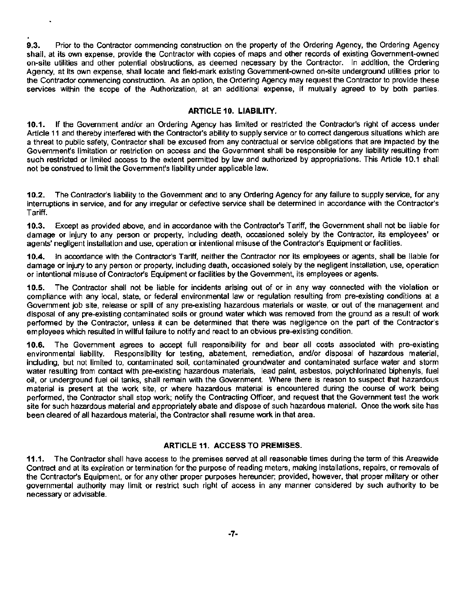9.3. Prior to the Contractor commencing construction on the property of the Ordering Agency, the Ordering Agency shall, at its own expense, provide the Contractor with copies of maps and other records of existing Government-owned on-site utilities and other potential obstructions, as deemed necessary by the Contractor. In addition, the Ordering Agency, at Its own expense, shall locate and field-mark existing Government-owned on-site underground utilities prior to the Contractor commencing construction. As an option, the Ordering Agency may request the Contractor to provide these services within the scope of the Authorization, at an additional expense, if mutually agreed to by both parties.

#### ARTICLE 10. LIABILITY.

10.1. If the Government and/or an Ordering Agency has limited or restricted the Contractor's right of access under Article 11 and thereby interfered with the Contractor's ability to supply service or to correct dangerous situations which are a threat to public safety, Contractor shall be excused from any contractual or service obligations that are impacted by the Government's limitation or restriction on access and the Government shall be responsible for any liability resulting from such restricted or limited access to the extent permitted by law and authorized by appropriations. This Article 10.1 shall not be construed to limit the Government's liability under applicable law.

10.2. The Contractor's liability to the Government and to any Ordering Agency for any failure to supply service, for any interruptions in service, and for any irregular or defective service shall be determined in accordance with the Contractor's Tariff.

10.3. Except as provided above. and in accordance with the Contractor's Tariff, the Government shall not be liable for damage or injury to any person or property, including death, occasioned solely by the Contractor, its employees' or agents' negligent installation and use, operation or intentional misuse of the Contractor's Equipment or facilities.

10.4. In accordance with the Contractor's Tariff, neither the Contractor nor its employees or agents, shall be liable for damage or injury to any person or property, including death, occasioned solely by the negligent installation, use, operation or intentional misuse of Contractor's Equipment or facilities by the Government, its employees or agents.

10.5. The Contractor shall not be liable for incidents arising out of or in any way connected with the violation or compliance with any local, state, or federal environmental law or regulation resulting from pre-existing conditions at a Government job site, release or spill of any pre-existing hazardous materials or waste, or out of the management and disposal of any pre-existing contaminated soils or ground water which was removed from the ground as a result of work performed by the Contractor, unless it can be determined that there was negligence on the part of the Contractor's employees which resulted in willful failure to notify and react to an obvious pre-existing condition.

10.6. The Government agrees to accept full responsibility for and bear all costs associated with pre-existing environmental liability. Responsibility for testing, abatement, remediation, and/or disposal of hazardous material. including, but not limited to, contaminated soil, contaminated groundwater and contaminated surface water and storm water resulting from contact with pre-existing hazardous materials, lead paint, asbestos, polychlorinated biphenyls, fuel oil, or underground fuel oil tanks, shall remain with the Government. Where there is reason to suspect that hazardous material is present at the work site, or where hazardous material is encountered during the course of work being performed, the Contractor shall stop work; notify the Contracting Officer. and request that the Government test the work site for such hazardous material and appropriately abate and dispose of such hazardous material. Once the work site has been cleared of all hazardous material, the Contractor shall resume work in that area.

#### ARTICLE 11. ACCESS TO PREMISES.

11.1. The Contractor shall have access to the premises served at all reasonable times during the term of this Areawide Contract and at its expiration or termination for the purpose of reading meters, making installations, repairs, or removals of the Contractor's Equipment, or for any other proper purposes hereunder; provided, however, that proper military or other governmental authority may limit or restrict such right of access in any manner considered by such authority to be necessary or advisable.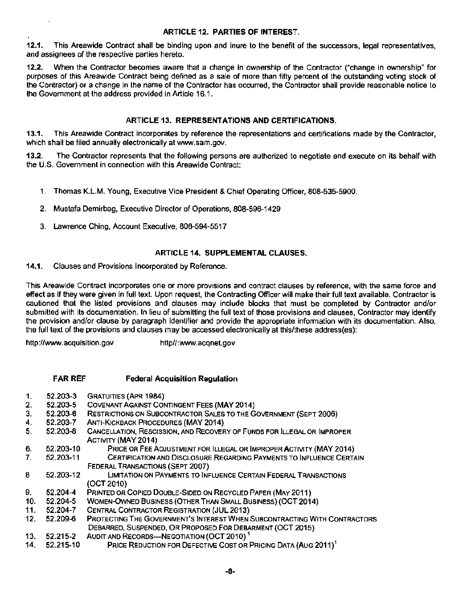#### ARTICLE 12. PARTIES OF INTEREST.

12.1. This Areawide Contract shall be binding upon and inure to the benefit of the successors, legal representatives, and assignees of the respective parties hereto.

12.2. When the Contractor becomes aware that a change in ownership of the Contractor ("change in ownership" for purposes of this Areawide Contract being defined as a sale of more than fifty percent of the outstanding voting stock of the Contractor) or a change in the name of the Contractor has occurred, the Contractor shall provide reasonable notice to the Government at the address provided in Article 16.1.

#### ARTICLE 13. REPRESENTATIONS AND CERTIFICATIONS.

13.1. This Areawide Contract incorporates by reference the representations and certifications made by the Contractor, which shall be filed annually electronically at www.sam.gov.

13.2. The Contractor represents that the following persons are authorized to negotiate and execute on its behalf with the U.S. Government in connection with this Areawide Contract:

- 1. Thomas K.L.M. Young, Executive Vice President & Chief Operating Officer, 808-535-5900.
- 2. Mustafa Demirbag, Executive Director of Operations, 808-596-1429
- 3. Lawrence Ching, Account Executive, 808-594-5517

#### ARTICLE 14. SUPPLEMENTAL CLAUSES.

14.1. Clauses and Provisions Incorporated by Reference.

This Areawide Contract incorporates one or more provisions and contract clauses by reference, with the same force and effect as if they were given in full text. Upon request, the Contracting Officer will make their full text available. Contractor is cautioned that the listed provisions and clauses may include blocks that must be completed by Contractor and/or submitted with its documentation. In lieu of submitting the full text of those provisions and clauses, Contractor may identify the provision and/or clause by paragraph identifier and provide the appropriate information with its documentation. Also, the full text of the provisions and clauses may be accessed electronically at this/these address(es):

http://www.acquisition.gov http//:www.acqnet.gov

#### FAR REF Federal Acquisition Regulation

1. 52.203-3 GRATUITIES (APR 1984)

8

- 2. 52.203-5 COVENANT AGAINST CONTINGENT FEES (MAY 2014)<br>3. 52.203-6 RESTRICTIONS ON SUBCONTRACTOR SALES TO THE G
- 52. 203-6 RESTRICTIONS ON SUBCONTRACTOR SALES TO THE GOVERNMENT (SEPT 2006)<br>52. 203-7 ANTI-KICKBACK PROCEDURES (MAY 2014)
- 4. 52.203-7 ANTI-KICKBACK PROCEDURES (MAY 2014)
- 5. 52.203-8 CANCELLATION, RESCISSION, AND RECOVERY OF FUNDS FOR ILLEGAL OR IMPROPER ACTIVITY (MAY 2014)
- 6. 52.203-10 PRICE OR Fee ADJUSTMENT FOR ILLEGAL OR IMPROPER ACTIVITY (MAy 2014) CERTIFICATION AND DISCLOSURE REGARDING PAYMENTS TO INFLUENCE CERTAIN
	- FEDERAL TRANSACTIONS (SEPT 2007)

#### 52.203-12 LIMITATION ON PAYMENTS TO INFLUENCE CERTAIN FEDERAL TRANSACTIONS (OCT2010)

- 9. 52.204-4 PRINTED OR COPIED DOUBLE-SIDED ON RECYCLED PAPER (MAY 2011)
- 10. 52.204-5 WOMEN-OWNED BUSINESS (OTHER THAN SMALL BUSINESS) (OCT 2014)<br>11. 52.204-7 CENTRAL CONTRACTOR REGISTRATION (JUL 2013)
- 11. 52.204-7 CENTRAL CONTRACTOR REGISTRATION (JUL 2013)
- 12. 52.209-6 PROTECTING THE GOVERNMENT'S INTEREST WHEN SUBCONTRACTING WITH CONTRACTORS DEBARRED, SUSPENDED, OR PROPOSED FOR DEBARMENT (OCT 2015} 13. 52.215-2 AUDIT AND RECORDS-NEGOTIATION (OCT 2010)<sup>1</sup>
- 14. 52.215-10 PRICE REDUCTION FOR DEFECTIVE COST OR PRICING DATA (AUG 2011)<sup>1</sup>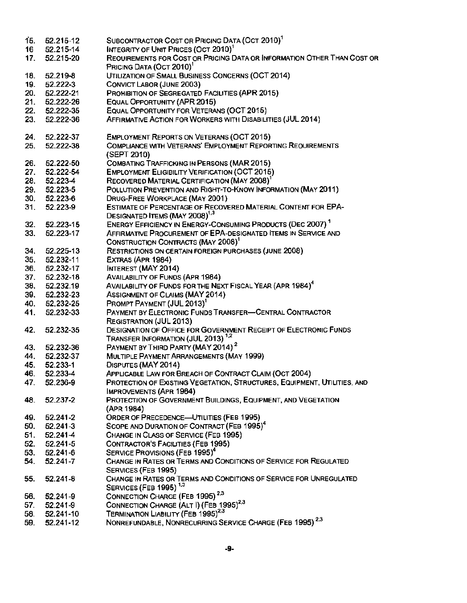| 15.             | 52.215-12    | SUBCONTRACTOR COST OR PRICING DATA (OCT 2010) <sup>1</sup>                                                      |
|-----------------|--------------|-----------------------------------------------------------------------------------------------------------------|
| 16              | 52.215-14    | INTEGRITY OF UNIT PRICES (OCT 2010) <sup>1</sup>                                                                |
| 17 <sub>1</sub> | 52.215-20    | REQUIREMENTS FOR COST OR PRICING DATA OR INFORMATION OTHER THAN COST OR<br>PRICING DATA (OCT 2010) <sup>1</sup> |
| 18.             | 52.219-8     | UTILIZATION OF SMALL BUSINESS CONCERNS (OCT 2014)                                                               |
| 19.             | 52.222-3     | CONVICT LABOR (JUNE 2003)                                                                                       |
| 20.             | 52.222-21    | PROHIBITION OF SEGREGATED FACILITIES (APR 2015)                                                                 |
| 21.             | 52.222-26    | EQUAL OPPORTUNITY (APR 2015)                                                                                    |
| 22.             | 52.222-35    | EQUAL OPPORTUNITY FOR VETERANS (OCT 2015)                                                                       |
| 23.             | 52.222-36    | AFFIRMATIVE ACTION FOR WORKERS WITH DISABILITIES (JUL 2014)                                                     |
|                 |              |                                                                                                                 |
| 24.             | 52.222-37    | <b>EMPLOYMENT REPORTS ON VETERANS (OCT 2015)</b>                                                                |
| 25.             | 52.222-38    | COMPLIANCE WITH VETERANS' EMPLOYMENT REPORTING REQUIREMENTS<br>(SEPT 2010)                                      |
| 26.             | 52.222-50    | COMBATING TRAFFICKING IN PERSONS (MAR 2015)                                                                     |
| 27.             | 52.222-54    | <b>EMPLOYMENT ELIGIBILITY VERIFICATION (OCT 2015)</b>                                                           |
| 28.             | 52.223-4     | RECOVERED MATERIAL CERTIFICATION (MAY 2008) <sup>1</sup>                                                        |
| 29.             | 52.223-5     | POLLUTION PREVENTION AND RIGHT-TO-KNOW INFORMATION (MAY 2011)                                                   |
| 30.             | 52.223-6     | DRUG-FREE WORKPLACE (MAY 2001)                                                                                  |
| 31.             | 52.223-9     | ESTIMATE OF PERCENTAGE OF RECOVERED MATERIAL CONTENT FOR EPA-<br>DESIGNATED ITEMS (MAY 2008) <sup>1,3</sup>     |
| 32.             | 52.223-15    | ENERGY EFFICIENCY IN ENERGY-CONSUMING PRODUCTS (DEC 2007) <sup>1</sup>                                          |
| 33.             | 52.223-17    | AFFIRMATIVE PROCUREMENT OF EPA-DESIGNATED ITEMS IN SERVICE AND                                                  |
|                 |              | CONSTRUCTION CONTRACTS (MAY 2008) <sup>1</sup>                                                                  |
| 34.             | 52.225-13    | RESTRICTIONS ON CERTAIN FOREIGN PURCHASES (JUNE 2008)                                                           |
| 35.             | 52.232-11    | EXTRAS (APR 1984)                                                                                               |
| 36.             | 52.232-17    | INTEREST (MAY 2014)                                                                                             |
| 37.             | 52.232-18    | AVAILABILITY OF FUNDS (APR 1984)                                                                                |
| 38.             | 52.232.19    | AVAILABILITY OF FUNDS FOR THE NEXT FISCAL YEAR (APR 1984) <sup>4</sup>                                          |
| 39.             | 52.232-23    | ASSIGNMENT OF CLAIMS (MAY 2014)                                                                                 |
| 40.             | 52.232-25    | PROMPT PAYMENT (JUL 2013) <sup>1</sup>                                                                          |
| 41.             | 52.232-33    | PAYMENT BY ELECTRONIC FUNDS TRANSFER-CENTRAL CONTRACTOR                                                         |
|                 |              | REGISTRATION (JUL 2013)                                                                                         |
| 42.             | 52.232-35    | DESIGNATION OF OFFICE FOR GOVERNMENT RECEIPT OF ELECTRONIC FUNDS                                                |
|                 |              | TRANSFER INFORMATION (JUL 2013) <sup>1,2</sup>                                                                  |
| 43.             | 52.232-36    | PAYMENT BY THIRD PARTY (MAY 2014) <sup>2</sup>                                                                  |
| 44.             | 52.232-37    | MULTIPLE PAYMENT ARRANGEMENTS (MAY 1999)                                                                        |
| 45.             | 52.233-1     | DISPUTES (MAY 2014)                                                                                             |
| 46.             | 52.233-4     | APPLICABLE LAW FOR BREACH OF CONTRACT CLAIM (OCT 2004)                                                          |
| 47.             | 52.236-9     | PROTECTION OF EXISTING VEGETATION, STRUCTURES, EQUIPMENT, UTILITIES, AND                                        |
|                 |              | <b>IMPROVEMENTS (APR 1984)</b>                                                                                  |
| 48.             | 52,237-2     | PROTECTION OF GOVERNMENT BUILDINGS, EQUIPMENT, AND VEGETATION<br>(APR 1984)                                     |
| 49.             | 52.241-2     | ORDER OF PRECEDENCE-UTILITIES (FEB 1995)                                                                        |
| 50.             | $52.241 - 3$ | SCOPE AND DURATION OF CONTRACT (FEB 1995) <sup>4</sup>                                                          |
| 51.             | 52.241-4     | CHANGE IN CLASS OF SERVICE (FEB 1995)                                                                           |
| 52.             | 52.241-5     | <b>CONTRACTOR'S FACILITIES (FEB 1995)</b>                                                                       |
| 53.             | $52.241 - 6$ | SERVICE PROVISIONS (FEB 1995) <sup>4</sup>                                                                      |
| 54.             | 52.241-7     | CHANGE IN RATES OR TERMS AND CONDITIONS OF SERVICE FOR REGULATED                                                |
|                 |              | SERVICES (FEB 1995)                                                                                             |
| 55.             | 52.241-8     | CHANGE IN RATES OR TERMS AND CONDITIONS OF SERVICE FOR UNREGULATED<br>SERVICES (FEB 1995) <sup>1,3</sup>        |
| 56.             | 52.241-9     | CONNECTION CHARGE (FEB 1995) <sup>2,3</sup>                                                                     |
| 57.             | 52.241-9     | CONNECTION CHARGE (ALT I) (FEB 1995) <sup>2,3</sup>                                                             |
| 58.             | 52.241-10    | <b>TERMINATION LIABILITY (FEB 1995)<sup>2,3</sup></b>                                                           |
| 59.             | 52.241-12    | NONREFUNDABLE, NONRECURRING SERVICE CHARGE (FEB 1995) <sup>2,3</sup>                                            |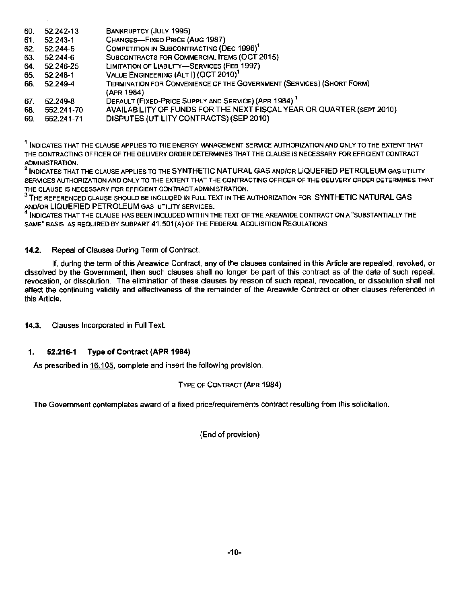| 60. | 52.242-13    | BANKRUPTCY (JULY 1995)                                                              |
|-----|--------------|-------------------------------------------------------------------------------------|
| 61. | 52.243-1     | CHANGES-FIXED PRICE (AUG 1987)                                                      |
| 62. | 52.244-5     | COMPETITION IN SUBCONTRACTING (DEC 1996) <sup>1</sup>                               |
| 63. | $52.244 - 6$ | SUBCONTRACTS FOR COMMERCIAL ITEMS (OCT 2015)                                        |
| 64. | 52.246-25    | LIMITATION OF LIABILITY-SERVICES (FEB 1997)                                         |
| 65. | 52.248-1     | VALUE ENGINEERING (ALT I) (OCT 2010) <sup>1</sup>                                   |
| 66. | 52.249-4     | TERMINATION FOR CONVENIENCE OF THE GOVERNMENT (SERVICES) (SHORT FORM)<br>(APR 1984) |
| 67. | 52.249-8     | DEFAULT (FIXED-PRICE SUPPLY AND SERVICE) (APR 1984) <sup>1</sup>                    |
| 68. | 552.241-70   | AVAILABILITY OF FUNDS FOR THE NEXT FISCAL YEAR OR QUARTER (SEPT 2010)               |
| 69. | 552.241-71   | DISPUTES (UTILITY CONTRACTS) (SEP 2010)                                             |
|     |              |                                                                                     |

1 INDICATES THAT THE CLAUSE APPLIES TO THE ENERGY MANAGEMENT SERVICE AUTHORIZATION AND ONLY TO THE EXTENT THAT THE CONTRACTING OFFICER OF THE DELIVERY ORDER DETERMINES THAT THE CLAUSE IS NECESSARY FOR EFFICIENT CONTRACT ADMINISTRATION.

 $^2$  INDICATES THAT THE CLAUSE APPLIES TO THE SYNTHETIC NATURAL GAS AND/OR LIQUEFIED PETROLEUM GAS UTILITY. SERVICES AUTHORIZATION AND ONLY TO THE EXTENT THAT THE CONTRACTING OFFICER OF THE DELIVERY ORDER DETERMINES THAT THE CLAUSE IS NECESSARY FOR EFFICIENT CONTRACT ADMINISTRATION.

<sup>3</sup> THE REFERENCED CLAUSE SHOULD BE INCLUDED IN FULL TEXT IN THE AUTHORIZATION FOR SYNTHETIC NATURAL GAS AND/OR LIQUEFIED PETROLEUM GAS UTILITY SERVICES.

<sup>4</sup>INDICATES THAT THE CLAUSE HAS BEEN INCLUDED WITHIN THE TEXT OF THE AREAWIDE CONTRACT ON A "SUBSTANTIALLY THE SAME" BASIS AS REQUIRED BY SUBPART 41.501(A) OF THE FEDERAL ACQUISITION REGULATIONS

#### 14.2. Repeal of Clauses During Term of Contract.

If, during the term of this Areawide Contract, any of the clauses contained in this Article are repealed, revoked, or dissolved by the Government, then such clauses shall no longer be part of this contract as of the date of such repeal, revocation, or dissolution. The elimination of these clauses by reason of such repeal, revocation, or dissolution shall not affect the continuing validity and effectiveness of the remainder of the Areawide Contract or other clauses referenced in this Article.

14.3. Clauses Incorporated in Full Text.

#### 1. 52.216-1 Type of Contract (APR 1984)

As prescribed in 16.105, complete and insert the following provision:

TYPE OF CONTRACT (APR 1984)

The Government contemplates award of a fixed price/requirements contract resulting from this solicitation.

(End of provision)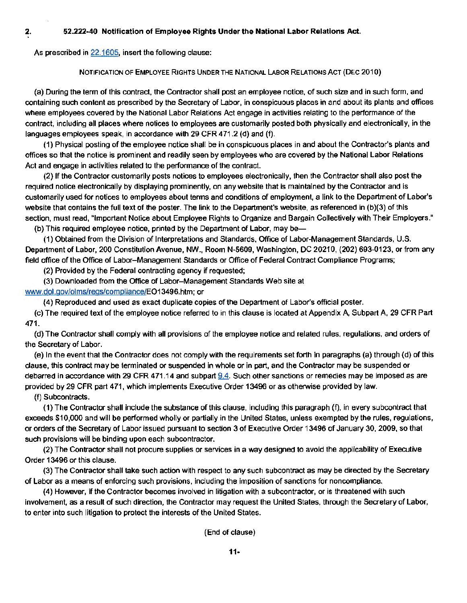#### 2. 52.222-40 Notification of Employee Rights Under the National Labor Relations Act.

As prescribed in 22.1605, insert the following clause:

#### NOTIFICATION OF EMPLOYEE RIGHTS UNDER THE NATIONALLABOR RELATIONS ACT (DEC 2010)

(a) During the term of this contract, the Contractor shall post an employee notice, of such size and in such form, and containing such content as prescribed by the Secretary of Labor, in conspicuous places in and about its plants and offices where employees covered by the National Labor Relations Act engage in activities relating to the performance of the contract, including all places where notices to employees are customarily posted both physically and electronically, in the languages employees speak, in accordance with 29 CFR 471.2 (d) and (f).

(1) Physical posting of the employee notice shall be in conspicuous places in and about the Contractor's plants and offices so that the notice is prominent and readily seen by employees who are covered by the National Labor Relations Act and engage in activities related to the performance of the contract.

(2) If the Contractor customarily posts notices to employees electronically, then the Contractor shall also post the required notice electronically by displaying prominently, on any website that is maintained by the Contractor and is customarily used for notices to employees about terms and conditions of employment, a link to the Department of Labor's website that contains the full text of the poster. The link to the Department's website, as referenced in (b)(3) of this section, must read, "Important Notice about Employee Rights to Organize and Bargain Collectively with Their Employers."

(b) This required employee notice, printed by the Department of Labor, may be

(1) Obtained from the Division of Interpretations and Standards, Office of Labor-Management Standards, U.S. Department of Labor, 200 Constitution Avenue, NW., Room N-5609, Washington, DC 20210, (202) 693-0123, or from any field office of the Office of Labor-Management Standards or Office of Federal Contract Compliance Programs;

(2) Provided by the Federal contracting agency if requested;

(3) Downloaded from the Office of Labor-Management Standards Web site at www.dol.gov/olms/regs/compliance/E013496.htm; or

(4) Reproduced and used as exact duplicate copies of the Department of Labor's official poster.

(c) The required text of the employee notice referred to in this clause is located at Appendix A, Subpart A, 29 CFR Part 471.

(d) The Contractor shall comply with all provisions of the employee notice and related rules, regulations, and orders of the Secretary of Labor.

(e) In the event that the Contractor does not comply with the requirements set forth in paragraphs (a) through (d) of this clause, this contract may be terminated or suspended in whole or in part, and the Contractor may be suspended or debarred in accordance with 29 CFR 471.14 and subpart 9.4. Such other sanctions or remedies may be imposed as are provided by 29 CFR part 471, which implements Executive Order 13496 or as otherwise provided by law.

(f) Subcontracts.

(1) The Contractor shall include the substance of this clause, including this paragraph (f), In every subcontract that exceeds \$10,000 and will be performed wholly or partially in the United States, unless exempted by the rules, regulations, or orders of the Secretary of Labor issued pursuant to section 3 of Executive Order 13496 of January 30, 2009, so that such provisions will be binding upon each subcontractor.

(2) The Contractor shall not procure supplies or services in a way designed to avoid the applicability of Executive Order 13496 or this clause.

(3) The Contractor shall take such action with respect to any such subcontract as may be directed by the Secretary of Labor as a means of enforcing such provisions, including the imposition of sanctions for noncompliance.

(4) However. If the Contractor becomes involved in litigation with a subcontractor, or is threatened with such involvement, as a result of such direction, the Contractor may request the United States, through the Secretary of Labor, to enter into such litigation to protect the interests of the United States.

(End of clause)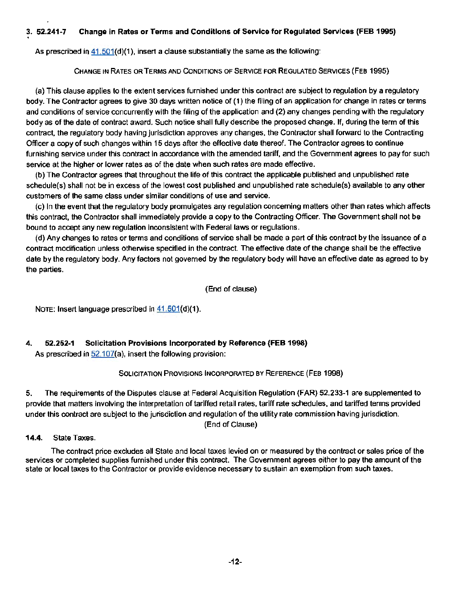#### 3. 52.241-7 Change in Rates or Terms and Conditions of Service for Regulated Services (FEB 1995)

As prescribed in  $41.501(d)(1)$ , insert a clause substantially the same as the following:

CHANGE IN RATES OR TERMS AND CONDITIONS OF SERVICE FOR REGULATED SERVICES (FEB 1995)

(a) This clause applies to the extent services furnished under this contract are subject to regulation by a regulatory body. The Contractor agrees to give 30 days written notice of ( 1) the filing of an application for change in rates or terms and conditions of service concurrently with the filing of the application and (2) any changes pending with the regulatory body as of the date of contract award. Such notice shall fully describe the proposed change. If, during the term of this contract, the regulatory body having jurisdiction approves any changes, the Contractor shall forward to the Contracting Officer a copy of such changes within 15 days after the effective date thereof. The Contractor agrees to continue furnishing service under this contract in accordance with the amended tariff, and the Government agrees to pay for such service at the higher or lower rates as of the date when such rates are made effective.

(b) The Contractor agrees that throughout the life of this contract the applicable published and unpublished rate schedule(s) shall not be in excess of the lowest cost published and unpublished rate schedule(s) available to any other customers of the same class under similar conditions of use and service.

(c) In the event that the regulatory body promulgates any regulation concerning matters other than rates which affects this contract, the Contractor shall immediately provide a copy to the Contracting Officer. The Government shall not be bound to accept any new regulation inconsistent with Federal laws or regulations.

(d) Any changes to rates or terms and conditions of service shall be made a part of this contract by the issuance of a contract modification unless otherwise specified in the contract. The effective date of the change shall be the effective date by the regulatory body. Any factors not governed by the regulatory body will have an effective date as agreed to by the parties.

(End of clause)

NOTE: Insert language prescribed in 41.501(d)(1).

### 4. 52.252-1 Solicitation Provisions Incorporated by Reference (FEB 1998)

As prescribed in 52.107(a), insert the following provision:

#### SOLICITATION PROVISIONS INCORPORATED BY REFERENCE (FEB 1996)

5. The requirements of the Disputes clause at Federal Acquisition Regulation (FAR) 52.233-1 are supplemented to provide that matters involving the interpretation of tariffed retail rates, tariff rate schedules, and tariffed terms provided under this contract are subject to the jurisdiction and regulation of the utility rate commission having jurisdiction. (End of Clause)

#### 14.4. State Taxes.

The contract price excludes all State and local taxes levied on or measured by the contract or sales price of the services or completed supplies furnished under this contract. The Government agrees either to pay the amount of the state or local taxes to the Contractor or provide evidence necessary to sustain an exemption from such taxes.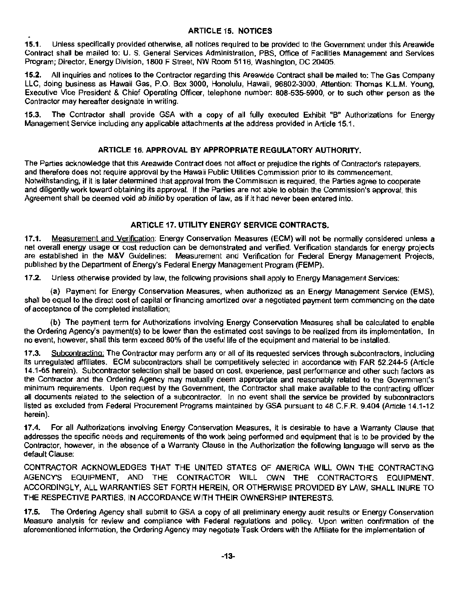#### ARTICLE 15. NOTICES

15.1. Unless specifically provided otherwise, all notices required to be provided to the Government under this Areawide Contract shall be mailed to: U. S. General Services Administration, PBS, Office of Facilities Management and Services Program; Director, Energy Division, 1800 F Street, NW Room 5116, Washington, DC 20405.

15.2. All inquiries and notices to the Contractor regarding this Areawide Contract shall be mailed to: The Gas Company LLC, doing business as Hawaii Gas. P.O. Box 3000, Honolulu, Hawaii, 96802-3000, Attention: Thomas K.L.M. Young, Executive Vice President & Chief Operating Officer, telephone number: 808-535-5900, or to such other person as the Contractor may hereafter designate in writing.

15.3. The Contractor shall provide GSA with a copy of all fully executed Exhibit "B" Authorizations for Energy Management Service including any applicable attachments at the address provided in Article 15.1.

#### ARTICLE 16. APPROVAL BY APPROPRIATE REGULATORY AUTHORITY.

The Parties acknowledge that this Areawide Contract does not affect or prejudice the rights of Contractor's ratepayers, and therefore does not require approval by the Hawaii Public Utilities Commission prior to its commencement. Notwithstanding, if it is later determined that approval from the Commission is required, the Parties agree to cooperate and diligently work toward obtaining its approval. If the Parties are not able to obtain the Commission's approval, this Agreement shall be deemed void ab initio by operation of law, as if it had never been entered into.

#### ARTICLE 17. UTILITY ENERGY SERVICE CONTRACTS.

17.1. Measurement and Verification: Energy Conservation Measures (ECM) will not be normally considered unless a net overall energy usage or cost reduction can be demonstrated and verified. Verification standards for energy projects are established in the M&V Guidelines: Measurement and Verification for Federal Energy Management Projects, published by the Department of Energy's Federal Energy Management Program (FEMP).

17.2. Unless otherwise provided by law, the following provisions shall apply to Energy Management Services:

(a) Payment for Energy Conservation Measures, when authorized as an Energy Management Service (EMS), shall be equal to the direct cost of capital or financing amortized over a negotiated payment term commencing on the date of acceptance of the completed installation;

(b) The payment term for Authorizations involving Energy Conservation Measures shall be calculated to enable the Ordering Agency's payment(s) to be lower than the estimated cost savings to be realized from its implementation. In no event, however, shall this term exceed 80% of the useful life of the equipment and material to be installed.

17.3. Subcontracting: The Contractor may perform any or all of its requested services through subcontractors, including its unregulated affiliates. ECM subcontractors shall be competitively selected in accordance with FAR 52.244-5 (Article 14.1-65 herein). Subcontractor selection shall be based on cost, experience, past performance and other such factors as the Contractor and the Ordering Agency may mutually deem appropriate and reasonably related to the Government's minimum requirements. Upon request by the Government, the Contractor shall make available to the contracting officer all documents related to the selection of a subcontractor. In no event shall the service be provided by subcontractors listed as excluded from Federal Procurement Programs maintained by GSA pursuant to 48 C.F.R. 9.404 (Article 14.1-12 herein).

17.4. For all Authorizations involving Energy Conservation Measures, it is desirable to have a Warranty Clause that addresses the specific needs and requirements of the work being performed and equipment that is to be provided by the Contractor, however, in the absence of a Warranty Clause in the Authorization the following language will serve as the default Clause:

CONTRACTOR ACKNOWLEDGES THAT THE UNITED STATES OF AMERICA WILL OWN THE CONTRACTING AGENCY'S EQUIPMENT, AND THE CONTRACTOR WILL OWN THE CONTRACTOR'S EQUIPMENT. ACCORDINGLY, ALL WARRANTIES SET FORTH HEREIN, OR OTHERWISE PROVIDED BY LAW, SHALL INURE TO THE RESPECTIVE PARTIES, IN ACCORDANCE WITH THEIR OWNERSHIP INTERESTS.

17.5. The Ordering Agency shall submit to GSA a copy of all preliminary energy audit results or Energy Conservation Measure analysis for review and compliance with Federal regulations and policy. Upon written confirmation of the aforementioned information, the Ordering Agency may negotiate Task Orders with the Affiliate for the implementation of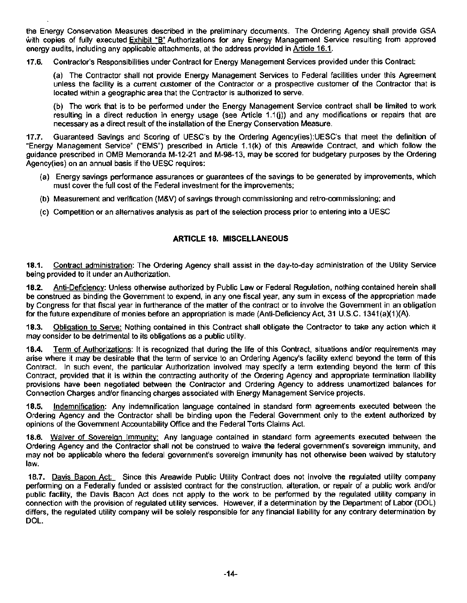the Energy Conservation Measures described in the preliminary documents. The Ordering Agency shall provide GSA with copies of fully executed Exhibit "B" Authorizations for any Energy Management Service resulting from approved energy audits. including any applicable attachments, at the address provided in Article 16.1.

17.6. Contractor's Responsibilities under Contract for Energy Management Services provided under this Contract:

(a) The Contractor shall not provide Energy Management Services to Federal facilities under this Agreement unless the facility is a current customer of the Contractor or a prospective customer of the Contractor that is located within a geographic area that the Contractor is authorized to serve.

{b) The work that is to be performed under the Energy Management Service contract shall be limited to work resulting in a direct reduction in energy usage {see Article 1.1(j)) and any modifications or repairs that are necessary as a direct result of the installation of the Energy Conservation Measure.

17.7. Guaranteed Savings and Scoring of UESC's by the Ordering Agency(ies):UESC's that meet the definition of "Energy Management Service" ("EMS") prescribed in Article 1.1(k) of this Areawide Contract, and which follow the guidance prescribed in OMB Memoranda M-12-21 and M-98-13, may be scored for budgetary purposes by the Ordering Agency(ies) on an annual basis if the UESC requires:

- (a) Energy savings performance assurances or guarantees of the savings to be generated by improvements, which must cover the full cost of the Federal investment for the improvements;
- (b) Measurement and verification {M&V) of savings through commissioning and retro-commissioning; and
- (c) Competition or an alternatives analysis as part of the selection process prior to entering into a UESC

#### ARTICLE 18. MISCELLANEOUS

18.1. Contract administration: The Ordering Agency shall assist in the day-to-day administration of the Utility Service being provided to it under an Authorization.

18.2. Anti-Deficiency: Unless otherwise authorized by Public Law or Federal Regulation, nothing contained herein shall be construed as binding the Government to expend, in any one fiscal year, any sum in excess of the appropriation made by Congress for that fiscal year in furtherance of the matter of the contract or to involve the Government in an obligation for the future expenditure of monies before an appropriation is made (Anti-Deficiency Act, 31 U.S.C. 1341(a)(1 )(A).

18.3. Obligation to Serve: Nothing contained in this Contract shall obligate the Contractor to take any action which it may consider to be detrimental to its obligations as a public utility.

18.4. Term of Authorizations: It is recognized that during the life of this Contract, situations and/or requirements may arise where it may be desirable that the term of service to an Ordering Agency's facility extend beyond the term of this Contract. In such event, the particular Authorization involved may specify a term extending beyond the term of this Contract, provided that it is within the contracting authority of the Ordering Agency and appropriate termination liability provisions have been negotiated between the Contractor and Ordering Agency to address unamortized balances for Connection Charges and/or financing charges associated with Energy Management Service projects.

18.5. Indemnification: Any indemnification language contained in standard form agreements executed between the Ordering Agency and the Contractor shall be binding upon the Federal Government only to the extent authorized by opinions of the Government Accountability Office and the Federal Torts Claims Act.

18.6. Waiver of Sovereign Immunity: Any language contained in standard form agreements executed between the Ordering Agency and the Contractor shall not be construed to waive the federal government's sovereign immunity, and may not be applicable where the federal government's sovereign immunity has not otherwise been waived by statutory law.

18.7. Davis Bacon Act: Since this Areawide Public Utility Contract does not involve the regulated utility company performing on a Federally funded or assisted contract for the construction, alteration, or repair of a public work and/or public facility, the Davis Bacon Act does not apply to the work to be performed by the regulated utility company in connection with the provision of regulated utility services. However, if a determination by the Department of Labor {DOL) differs, the regulated utility company will be solely responsible for any financial liability for any contrary determination by DOL.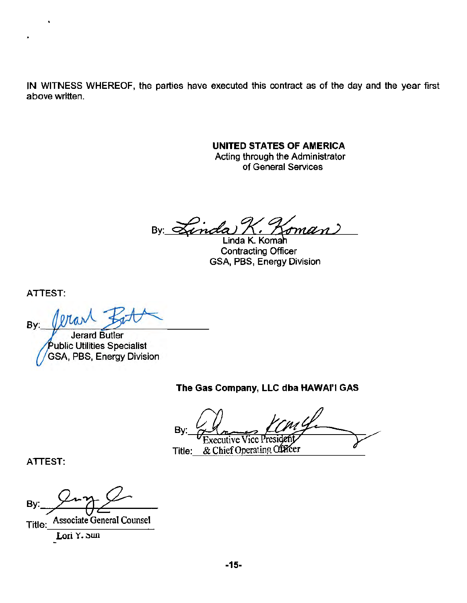IN WITNESS WHEREOF, the parties have executed this contract as of the day and the year first above written.

> UNITED STATES OF AMERICA Acting through the Administrator

of General Services

By: <del>Kinda K. Koman)</del>

Contracting Officer GSA, PBS, Energy Division

ATTEST:

 $\Delta$ 

 $B_1$ 

Jerard Butler <sup>5</sup>ublic Utilities Specialist GSA, PBS, Energy Division

The Gas Company, LLC dba HAWAl'I GAS

By: **Executive Vice President** 

Title: & Chief Operating Officer

ATTEST:

By: $\qquad \qquad \qquad \qquad$ Title: Associate General Counsel

Lori Y. Sun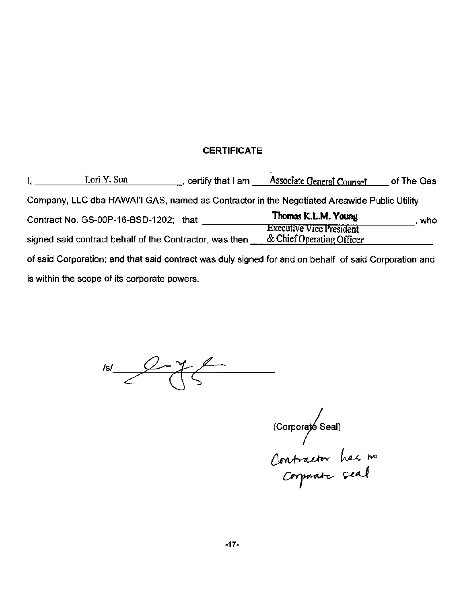## **CERTIFICATE**

I, \_\_\_\_\_ t\_o\_ri\_Y\_.\_S\_un \_\_\_\_\_, certify that I am \_\_ A\_s;;;.;;s..;;;..oc"""'ia=te=-G=e,...n ..... er...... at......,C ....0....... 11...,.ns...... e.\_I\_\_ of The Gas Company, LLC dba HAWAl'I GAS, named as Contractor in the Negotiated Areawide Public Utility Contract No. GS-00P-16-BSD-1202; that **Thomas K.L.M. Young** , who Executive Vice President signed said contract behalf of the Contractor, was then \_\_\_& Chief Operating Officer of said Corporation; and that said contract was duly signed for and on behalf of said Corporation and is within the scope of its corporate powers.

 $\overline{\frac{1}{100}}$ 

(Corporate Seal)<br>Contractor has no<br>Corporate seal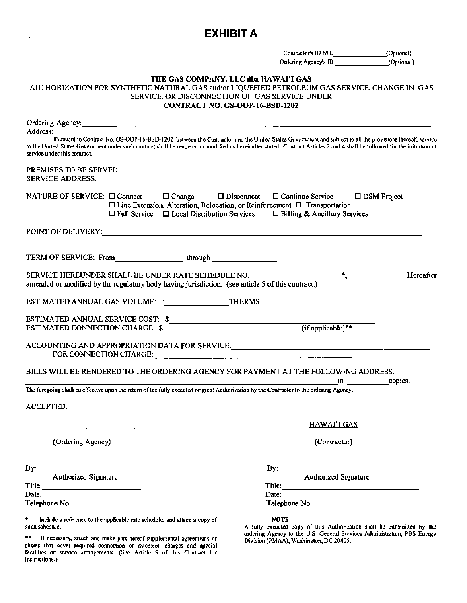**EXHIBIT A** 

Contmclo(s ID NO.\_\_\_\_\_\_(Optional) Ordering Agency's ID \_\_\_\_\_\_\_\_\_\_\_\_\_\_\_\_(Optional)

#### THE GAS COMPANY, LLC dba HAWAI'I GAS AUTHORIZATION FOR SYNTHETIC NATURAL GAS and/or LIQUEFIED PETROLEUM GAS SERVICE, CHANGE IN GAS SERVICE, OR DISCONNECTION OF GAS SERVICE UNDER CONTRACT NO. GS-OOP-16-BSD-1202

| Address:<br>Pursuant to Contract No. GS-OOP-16-BSD-1202 between the Contractor and the United States Government and subject to all the provisions thereof, service<br>to the United States Government under such contract shall be rendered or modified as hereinafter stated. Contract Articles 2 and 4 shall be followed for the initiation of<br>service under this contract. |                                                                           |                                                                                                                                                 |                                                                                                                                                                   |                                                                                                                                                                                                                               |           |
|----------------------------------------------------------------------------------------------------------------------------------------------------------------------------------------------------------------------------------------------------------------------------------------------------------------------------------------------------------------------------------|---------------------------------------------------------------------------|-------------------------------------------------------------------------------------------------------------------------------------------------|-------------------------------------------------------------------------------------------------------------------------------------------------------------------|-------------------------------------------------------------------------------------------------------------------------------------------------------------------------------------------------------------------------------|-----------|
|                                                                                                                                                                                                                                                                                                                                                                                  |                                                                           |                                                                                                                                                 |                                                                                                                                                                   |                                                                                                                                                                                                                               |           |
| NATURE OF SERVICE: □ Connect                                                                                                                                                                                                                                                                                                                                                     | $\Box$ Change                                                             | $\Box$ Line Extension, Alteration, Relocation, or Reinforcement $\Box$ Transportation<br>$\Box$ Full Service $\Box$ Local Distribution Services | $\Box$ Disconnect $\Box$ Continue Service<br>$\Box$ Billing & Ancillary Services                                                                                  | <b>ODSM</b> Project                                                                                                                                                                                                           |           |
|                                                                                                                                                                                                                                                                                                                                                                                  |                                                                           |                                                                                                                                                 |                                                                                                                                                                   |                                                                                                                                                                                                                               |           |
| TERM OF SERVICE: From _____________________ through _______________.                                                                                                                                                                                                                                                                                                             |                                                                           |                                                                                                                                                 |                                                                                                                                                                   |                                                                                                                                                                                                                               |           |
| SERVICE HEREUNDER SHALL BE UNDER RATE SCHEDULE NO.<br>amended or modified by the regulatory body having jurisdiction. (see article 5 of this contract.)                                                                                                                                                                                                                          |                                                                           |                                                                                                                                                 |                                                                                                                                                                   | ٠.                                                                                                                                                                                                                            | Hereafter |
| ESTIMATED ANNUAL GAS VOLUME: : THERMS                                                                                                                                                                                                                                                                                                                                            |                                                                           |                                                                                                                                                 |                                                                                                                                                                   |                                                                                                                                                                                                                               |           |
| ESTIMATED CONNECTION CHARGE: \$__________________________________(if applicable)**                                                                                                                                                                                                                                                                                               |                                                                           |                                                                                                                                                 |                                                                                                                                                                   |                                                                                                                                                                                                                               |           |
| ACCOUNTING AND APPROPRIATION DATA FOR SERVICE: _________________________________                                                                                                                                                                                                                                                                                                 |                                                                           |                                                                                                                                                 |                                                                                                                                                                   |                                                                                                                                                                                                                               |           |
| BILLS WILL BE RENDERED TO THE ORDERING AGENCY FOR PAYMENT AT THE FOLLOWING ADDRESS:                                                                                                                                                                                                                                                                                              |                                                                           |                                                                                                                                                 |                                                                                                                                                                   | $\mathbf{m}$ and $\mathbf{m}$                                                                                                                                                                                                 | copies.   |
| The foregoing shall be effective upon the return of the fully executed original Authorization by the Contractor to the ordering Agency.                                                                                                                                                                                                                                          |                                                                           |                                                                                                                                                 |                                                                                                                                                                   |                                                                                                                                                                                                                               |           |
| <b>ACCEPTED:</b>                                                                                                                                                                                                                                                                                                                                                                 |                                                                           |                                                                                                                                                 |                                                                                                                                                                   |                                                                                                                                                                                                                               |           |
|                                                                                                                                                                                                                                                                                                                                                                                  |                                                                           |                                                                                                                                                 |                                                                                                                                                                   | HAWAI'I GAS                                                                                                                                                                                                                   |           |
| (Ordering Agency)                                                                                                                                                                                                                                                                                                                                                                |                                                                           |                                                                                                                                                 |                                                                                                                                                                   | (Contractor)                                                                                                                                                                                                                  |           |
| By:                                                                                                                                                                                                                                                                                                                                                                              |                                                                           |                                                                                                                                                 | By:                                                                                                                                                               |                                                                                                                                                                                                                               |           |
| <b>Authorized Signature</b>                                                                                                                                                                                                                                                                                                                                                      |                                                                           |                                                                                                                                                 |                                                                                                                                                                   | <b>Authorized Signature</b>                                                                                                                                                                                                   |           |
| Title:<br><u> 1994 - Johann Stein, mars an t-Amerikaansk ferstjer</u>                                                                                                                                                                                                                                                                                                            |                                                                           |                                                                                                                                                 | Title:                                                                                                                                                            | the control of the control of the control of the control of the control of                                                                                                                                                    |           |
| Date:<br>Telephone No: $\qquad \qquad$                                                                                                                                                                                                                                                                                                                                           |                                                                           |                                                                                                                                                 | Date:                                                                                                                                                             | Telephone No: The Contract of the Contract of the Contract of the Contract of the Contract of the Contract of the Contract of the Contract of the Contract of the Contract of the Contract of the Contract of the Contract of |           |
|                                                                                                                                                                                                                                                                                                                                                                                  |                                                                           |                                                                                                                                                 |                                                                                                                                                                   |                                                                                                                                                                                                                               |           |
| ۰<br>such schedule.                                                                                                                                                                                                                                                                                                                                                              | Include a reference to the applicable rate schedule, and attach a copy of |                                                                                                                                                 | <b>NOTE</b><br>A fully executed copy of this Authorization shall be transmitted by the<br>ordering Agency to the U.S. General Services Administration, PRS Energy |                                                                                                                                                                                                                               |           |

sheets that cover required connection or extension charges and special facilities or service arrangements. (See Article 5 of this Contract for instructions.)

ł

<sup>\*\*</sup> If necessary, attach and make part hereof supplemental agreements or ordering Agency to the U.S. General Services Administration, PBS Energy \*\* If necessary, attach and make part hereof supplemental agreements or Divi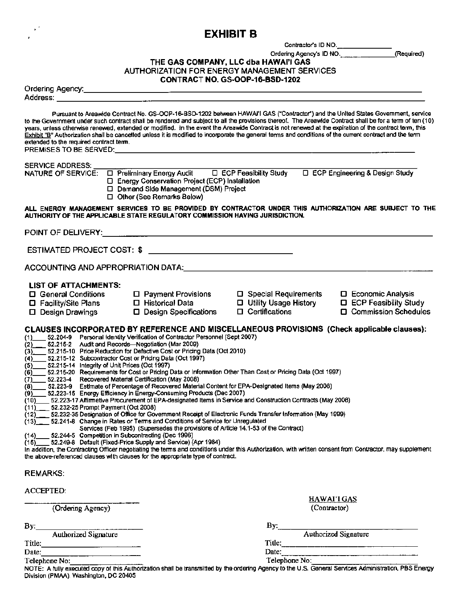## **EXHIBIT B**

| Contractor's ID NO. |  |
|---------------------|--|

Ordering Agency's ID NO. (Required)

## THE GAS COMPANY, LLC dba HAWAl'I GAS AUTHORIZATION FOR ENERGY MANAGEMENT SERVICES CONTRACT NO. GS-OOP-16-BSD-1202 Ordering Address: Agency:·------------------------------------

| Ordering Agency: |  |
|------------------|--|
| Address:         |  |

 $\mathcal{F}^{\mathcal{I}}$ 

| extended to the required contract term.                                                                                                                                             | Pursuant to Areawide Contract No. GS-OOP-16-BSD-1202 between HAWAI'I GAS ("Contractor") and the United States Government, service<br>to the Government under such contract shall be rendered and subject to all the provisions thereof. The Areawide Contract shall be for a term of ten (10)<br>years, unless otherwise renewed, extended or modified. In the event the Areawide Contract is not renewed at the expiration of the contract term, this<br>Exhibit "B" Authorization shall be cancelled unless it is modified to incorporate the general terms and conditions of the current contract and the term                                                                                                                                                                                                                                                                                                                                                                                                                                                                                                                                                                                                                                                                                                                                                                                                                                                                                       |                                                            |                                                          |
|-------------------------------------------------------------------------------------------------------------------------------------------------------------------------------------|---------------------------------------------------------------------------------------------------------------------------------------------------------------------------------------------------------------------------------------------------------------------------------------------------------------------------------------------------------------------------------------------------------------------------------------------------------------------------------------------------------------------------------------------------------------------------------------------------------------------------------------------------------------------------------------------------------------------------------------------------------------------------------------------------------------------------------------------------------------------------------------------------------------------------------------------------------------------------------------------------------------------------------------------------------------------------------------------------------------------------------------------------------------------------------------------------------------------------------------------------------------------------------------------------------------------------------------------------------------------------------------------------------------------------------------------------------------------------------------------------------|------------------------------------------------------------|----------------------------------------------------------|
| PREMISES TO BE SERVED:                                                                                                                                                              |                                                                                                                                                                                                                                                                                                                                                                                                                                                                                                                                                                                                                                                                                                                                                                                                                                                                                                                                                                                                                                                                                                                                                                                                                                                                                                                                                                                                                                                                                                         |                                                            |                                                          |
| <b>SERVICE ADDRESS:</b>                                                                                                                                                             |                                                                                                                                                                                                                                                                                                                                                                                                                                                                                                                                                                                                                                                                                                                                                                                                                                                                                                                                                                                                                                                                                                                                                                                                                                                                                                                                                                                                                                                                                                         |                                                            |                                                          |
| NATURE OF SERVICE:                                                                                                                                                                  | □ Preliminary Energy Audit □ ECP Feasibility Study □ ECP Engineering & Design Study<br>□ Energy Conservation Project (ECP) Installation<br>□ Demand Side Management (DSM) Project<br>□ Other (See Remarks Below)                                                                                                                                                                                                                                                                                                                                                                                                                                                                                                                                                                                                                                                                                                                                                                                                                                                                                                                                                                                                                                                                                                                                                                                                                                                                                        |                                                            |                                                          |
|                                                                                                                                                                                     | ALL ENERGY MANAGEMENT SERVICES TO BE PROVIDED BY CONTRACTOR UNDER THIS AUTHORIZATION ARE SUBJECT TO THE<br>AUTHORITY OF THE APPLICABLE STATE REGULATORY COMMISSION HAVING JURISDICTION.                                                                                                                                                                                                                                                                                                                                                                                                                                                                                                                                                                                                                                                                                                                                                                                                                                                                                                                                                                                                                                                                                                                                                                                                                                                                                                                 |                                                            |                                                          |
| POINT OF DELIVERY:                                                                                                                                                                  | <u> 1980 - John Stein, mars and de Branch Stein, mars and de Branch Stein Branch Stein Branch Stein Branch Stein</u>                                                                                                                                                                                                                                                                                                                                                                                                                                                                                                                                                                                                                                                                                                                                                                                                                                                                                                                                                                                                                                                                                                                                                                                                                                                                                                                                                                                    |                                                            |                                                          |
|                                                                                                                                                                                     |                                                                                                                                                                                                                                                                                                                                                                                                                                                                                                                                                                                                                                                                                                                                                                                                                                                                                                                                                                                                                                                                                                                                                                                                                                                                                                                                                                                                                                                                                                         |                                                            |                                                          |
|                                                                                                                                                                                     | ACCOUNTING AND APPROPRIATION DATA: And the contract of the contract of the contract of the contract of the contract of the contract of the contract of the contract of the contract of the contract of the contract of the con                                                                                                                                                                                                                                                                                                                                                                                                                                                                                                                                                                                                                                                                                                                                                                                                                                                                                                                                                                                                                                                                                                                                                                                                                                                                          |                                                            |                                                          |
| <b>LIST OF ATTACHMENTS:</b>                                                                                                                                                         |                                                                                                                                                                                                                                                                                                                                                                                                                                                                                                                                                                                                                                                                                                                                                                                                                                                                                                                                                                                                                                                                                                                                                                                                                                                                                                                                                                                                                                                                                                         |                                                            |                                                          |
| □ General Conditions                                                                                                                                                                | $\square$ Payment Provisions                                                                                                                                                                                                                                                                                                                                                                                                                                                                                                                                                                                                                                                                                                                                                                                                                                                                                                                                                                                                                                                                                                                                                                                                                                                                                                                                                                                                                                                                            | □ Special Requirements                                     | <b>D</b> Economic Analysis                               |
| □ Facility/Site Plans<br>□ Design Drawings                                                                                                                                          | □ Historical Data<br>□ Design Specifications                                                                                                                                                                                                                                                                                                                                                                                                                                                                                                                                                                                                                                                                                                                                                                                                                                                                                                                                                                                                                                                                                                                                                                                                                                                                                                                                                                                                                                                            | <b>D</b> Utility Usage History<br>$\square$ Certifications | <b>D</b> ECP Feasibility Study<br>□ Commission Schedules |
| (1)<br>(2)<br>(3)<br>(4)<br>52.215-14 Integrity of Unit Prices (Oct 1997)<br>(5)<br>(6)<br>(7)<br>(8)<br>(9)<br>(10)<br>52.232-25 Prompt Payment (Oct 2008)<br>(11)<br>(14)<br>(15) | CLAUSES INCORPORATED BY REFERENCE AND MISCELLANEOUS PROVISIONS (Check applicable clauses):<br>52.204-9 Personal Identity Verification of Contractor Personnel (Sept 2007)<br>52.215-2 Audit and Records-Negotiation (Mar 2009)<br>52.215-10 Price Reduction for Defective Cost or Pricing Data (Oct 2010)<br>52.215-12 Subcontractor Cost or Pricing Data (Oct 1997)<br>52.215-20 Requirements for Cost or Pricing Data or Information Other Than Cost or Pricing Data (Oct 1997)<br>52.223-4 Recovered Material Certification (May 2008)<br>52.223-9 Estimate of Percentage of Recovered Material Content for EPA-Designated Items (May 2008)<br>52.223-15 Energy Efficiency in Energy-Consuming Products (Dec 2007)<br>52.223-17 Affirmetive Procurement of EPA-designated Items in Service and Construction Contracts (May 2008)<br>(12) 52.232-35 Designation of Office for Government Receipt of Electronic Funds Transfer Information (May 1999)<br>(13) __ 52.241-8 Change in Rates or Terms and Conditions of Service for Unregulated<br>Services (Feb 1995) (Supersedes the provisions of Article 14.1-53 of the Contract)<br>52.244-5 Competition in Subcontracting (Dec 1996)<br>52.249-8 Default (Fixed-Price Supply and Service) (Apr 1984)<br>In addition, the Contracting Officer negotiating the terms and conditions under this Authorization, with written consent from Contractor, may supplement<br>the above-referenced clauses with clauses for the appropriate type of contract. |                                                            |                                                          |
| <b>REMARKS:</b>                                                                                                                                                                     |                                                                                                                                                                                                                                                                                                                                                                                                                                                                                                                                                                                                                                                                                                                                                                                                                                                                                                                                                                                                                                                                                                                                                                                                                                                                                                                                                                                                                                                                                                         |                                                            |                                                          |
| ACCEPTED:                                                                                                                                                                           |                                                                                                                                                                                                                                                                                                                                                                                                                                                                                                                                                                                                                                                                                                                                                                                                                                                                                                                                                                                                                                                                                                                                                                                                                                                                                                                                                                                                                                                                                                         |                                                            | <b>HAWAI'I GAS</b>                                       |
| (Ordering Agency)                                                                                                                                                                   |                                                                                                                                                                                                                                                                                                                                                                                                                                                                                                                                                                                                                                                                                                                                                                                                                                                                                                                                                                                                                                                                                                                                                                                                                                                                                                                                                                                                                                                                                                         | (Contractor)                                               |                                                          |
| By:                                                                                                                                                                                 |                                                                                                                                                                                                                                                                                                                                                                                                                                                                                                                                                                                                                                                                                                                                                                                                                                                                                                                                                                                                                                                                                                                                                                                                                                                                                                                                                                                                                                                                                                         |                                                            |                                                          |
| Authorized Signature                                                                                                                                                                |                                                                                                                                                                                                                                                                                                                                                                                                                                                                                                                                                                                                                                                                                                                                                                                                                                                                                                                                                                                                                                                                                                                                                                                                                                                                                                                                                                                                                                                                                                         |                                                            | By: Authorized Signature                                 |
|                                                                                                                                                                                     |                                                                                                                                                                                                                                                                                                                                                                                                                                                                                                                                                                                                                                                                                                                                                                                                                                                                                                                                                                                                                                                                                                                                                                                                                                                                                                                                                                                                                                                                                                         |                                                            |                                                          |
| Date:                                                                                                                                                                               |                                                                                                                                                                                                                                                                                                                                                                                                                                                                                                                                                                                                                                                                                                                                                                                                                                                                                                                                                                                                                                                                                                                                                                                                                                                                                                                                                                                                                                                                                                         |                                                            |                                                          |
|                                                                                                                                                                                     | Telephone No: Telephone No: Telephone No: Telephone No: Telephone No: Telephone No: Telephone No: NOTE: A fully executed copy of this Authorization shall be transmitted by the ordering Agency to the U.S. General Services A                                                                                                                                                                                                                                                                                                                                                                                                                                                                                                                                                                                                                                                                                                                                                                                                                                                                                                                                                                                                                                                                                                                                                                                                                                                                          |                                                            |                                                          |
| Division (PMAA). Washington, DC 20405                                                                                                                                               |                                                                                                                                                                                                                                                                                                                                                                                                                                                                                                                                                                                                                                                                                                                                                                                                                                                                                                                                                                                                                                                                                                                                                                                                                                                                                                                                                                                                                                                                                                         |                                                            |                                                          |